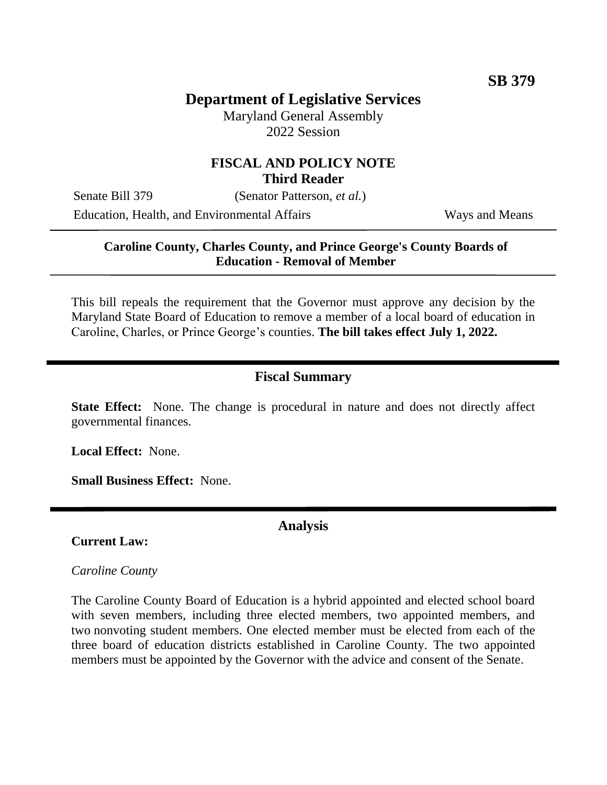# **Department of Legislative Services**

Maryland General Assembly 2022 Session

# **FISCAL AND POLICY NOTE Third Reader**

Senate Bill 379 (Senator Patterson, *et al.*)

Education, Health, and Environmental Affairs Ways and Means

### **Caroline County, Charles County, and Prince George's County Boards of Education - Removal of Member**

This bill repeals the requirement that the Governor must approve any decision by the Maryland State Board of Education to remove a member of a local board of education in Caroline, Charles, or Prince George's counties. **The bill takes effect July 1, 2022.**

# **Fiscal Summary**

**State Effect:** None. The change is procedural in nature and does not directly affect governmental finances.

**Local Effect:** None.

**Small Business Effect:** None.

**Current Law:**

**Analysis**

#### *Caroline County*

The Caroline County Board of Education is a hybrid appointed and elected school board with seven members, including three elected members, two appointed members, and two nonvoting student members. One elected member must be elected from each of the three board of education districts established in Caroline County. The two appointed members must be appointed by the Governor with the advice and consent of the Senate.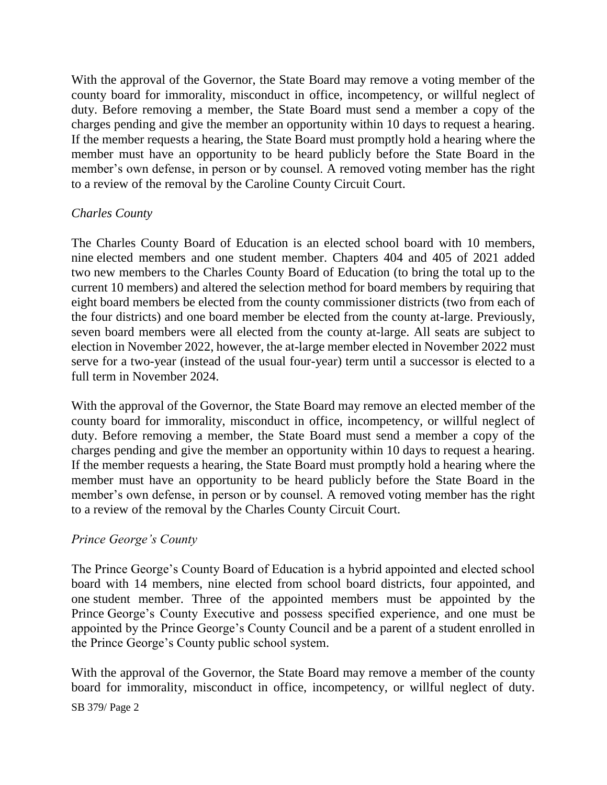With the approval of the Governor, the State Board may remove a voting member of the county board for immorality, misconduct in office, incompetency, or willful neglect of duty. Before removing a member, the State Board must send a member a copy of the charges pending and give the member an opportunity within 10 days to request a hearing. If the member requests a hearing, the State Board must promptly hold a hearing where the member must have an opportunity to be heard publicly before the State Board in the member's own defense, in person or by counsel. A removed voting member has the right to a review of the removal by the Caroline County Circuit Court.

### *Charles County*

The Charles County Board of Education is an elected school board with 10 members, nine elected members and one student member. Chapters 404 and 405 of 2021 added two new members to the Charles County Board of Education (to bring the total up to the current 10 members) and altered the selection method for board members by requiring that eight board members be elected from the county commissioner districts (two from each of the four districts) and one board member be elected from the county at-large. Previously, seven board members were all elected from the county at-large. All seats are subject to election in November 2022, however, the at-large member elected in November 2022 must serve for a two-year (instead of the usual four-year) term until a successor is elected to a full term in November 2024.

With the approval of the Governor, the State Board may remove an elected member of the county board for immorality, misconduct in office, incompetency, or willful neglect of duty. Before removing a member, the State Board must send a member a copy of the charges pending and give the member an opportunity within 10 days to request a hearing. If the member requests a hearing, the State Board must promptly hold a hearing where the member must have an opportunity to be heard publicly before the State Board in the member's own defense, in person or by counsel. A removed voting member has the right to a review of the removal by the Charles County Circuit Court.

### *Prince George's County*

The Prince George's County Board of Education is a hybrid appointed and elected school board with 14 members, nine elected from school board districts, four appointed, and one student member. Three of the appointed members must be appointed by the Prince George's County Executive and possess specified experience, and one must be appointed by the Prince George's County Council and be a parent of a student enrolled in the Prince George's County public school system.

With the approval of the Governor, the State Board may remove a member of the county board for immorality, misconduct in office, incompetency, or willful neglect of duty.